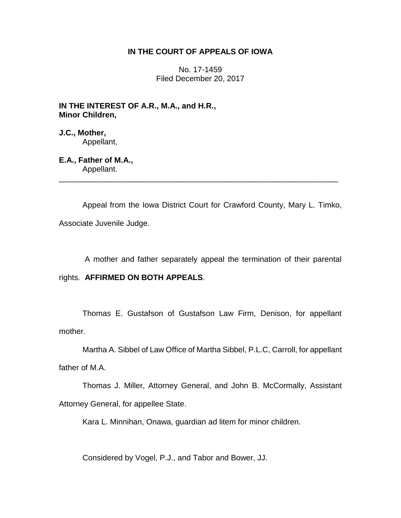## **IN THE COURT OF APPEALS OF IOWA**

No. 17-1459 Filed December 20, 2017

**IN THE INTEREST OF A.R., M.A., and H.R., Minor Children,**

**J.C., Mother,** Appellant,

**E.A., Father of M.A.,** Appellant.

Appeal from the Iowa District Court for Crawford County, Mary L. Timko, Associate Juvenile Judge.

\_\_\_\_\_\_\_\_\_\_\_\_\_\_\_\_\_\_\_\_\_\_\_\_\_\_\_\_\_\_\_\_\_\_\_\_\_\_\_\_\_\_\_\_\_\_\_\_\_\_\_\_\_\_\_\_\_\_\_\_\_\_\_\_

A mother and father separately appeal the termination of their parental

rights. **AFFIRMED ON BOTH APPEALS**.

Thomas E. Gustafson of Gustafson Law Firm, Denison, for appellant mother.

Martha A. Sibbel of Law Office of Martha Sibbel, P.L.C, Carroll, for appellant

father of M.A.

Thomas J. Miller, Attorney General, and John B. McCormally, Assistant Attorney General, for appellee State.

Kara L. Minnihan, Onawa, guardian ad litem for minor children.

Considered by Vogel, P.J., and Tabor and Bower, JJ.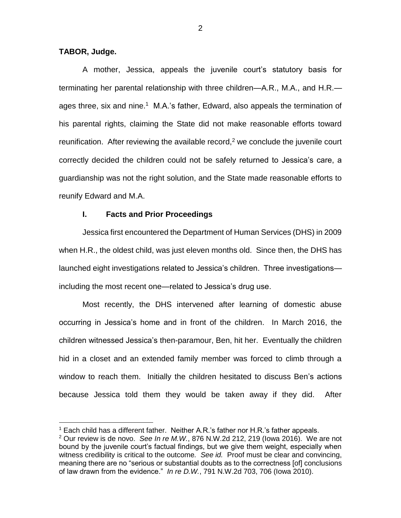### **TABOR, Judge.**

 $\overline{a}$ 

A mother, Jessica, appeals the juvenile court's statutory basis for terminating her parental relationship with three children—A.R., M.A., and H.R. ages three, six and nine.<sup>1</sup> M.A.'s father, Edward, also appeals the termination of his parental rights, claiming the State did not make reasonable efforts toward reunification. After reviewing the available record,<sup>2</sup> we conclude the juvenile court correctly decided the children could not be safely returned to Jessica's care, a guardianship was not the right solution, and the State made reasonable efforts to reunify Edward and M.A.

## **I. Facts and Prior Proceedings**

Jessica first encountered the Department of Human Services (DHS) in 2009 when H.R., the oldest child, was just eleven months old. Since then, the DHS has launched eight investigations related to Jessica's children. Three investigations including the most recent one—related to Jessica's drug use.

Most recently, the DHS intervened after learning of domestic abuse occurring in Jessica's home and in front of the children. In March 2016, the children witnessed Jessica's then-paramour, Ben, hit her. Eventually the children hid in a closet and an extended family member was forced to climb through a window to reach them. Initially the children hesitated to discuss Ben's actions because Jessica told them they would be taken away if they did. After

<sup>1</sup> Each child has a different father. Neither A.R.'s father nor H.R.'s father appeals.

<sup>2</sup> Our review is de novo. *See In re M.W.*, 876 N.W.2d 212, 219 (Iowa 2016). We are not bound by the juvenile court's factual findings, but we give them weight, especially when witness credibility is critical to the outcome*. See id.* Proof must be clear and convincing, meaning there are no "serious or substantial doubts as to the correctness [of] conclusions of law drawn from the evidence." *In re D.W.*, 791 N.W.2d 703, 706 (Iowa 2010).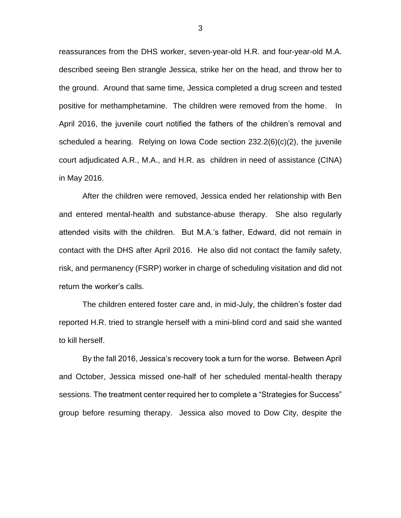reassurances from the DHS worker, seven-year-old H.R. and four-year-old M.A. described seeing Ben strangle Jessica, strike her on the head, and throw her to the ground. Around that same time, Jessica completed a drug screen and tested positive for methamphetamine. The children were removed from the home. In April 2016, the juvenile court notified the fathers of the children's removal and scheduled a hearing. Relying on Iowa Code section 232.2(6)(c)(2), the juvenile court adjudicated A.R., M.A., and H.R. as children in need of assistance (CINA) in May 2016.

After the children were removed, Jessica ended her relationship with Ben and entered mental-health and substance-abuse therapy. She also regularly attended visits with the children. But M.A.'s father, Edward, did not remain in contact with the DHS after April 2016. He also did not contact the family safety, risk, and permanency (FSRP) worker in charge of scheduling visitation and did not return the worker's calls.

The children entered foster care and, in mid-July, the children's foster dad reported H.R. tried to strangle herself with a mini-blind cord and said she wanted to kill herself.

By the fall 2016, Jessica's recovery took a turn for the worse. Between April and October, Jessica missed one-half of her scheduled mental-health therapy sessions. The treatment center required her to complete a "Strategies for Success" group before resuming therapy. Jessica also moved to Dow City, despite the

3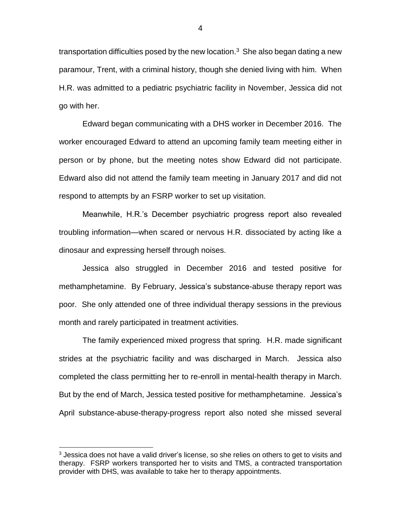transportation difficulties posed by the new location.<sup>3</sup> She also began dating a new paramour, Trent, with a criminal history, though she denied living with him. When H.R. was admitted to a pediatric psychiatric facility in November, Jessica did not go with her.

Edward began communicating with a DHS worker in December 2016. The worker encouraged Edward to attend an upcoming family team meeting either in person or by phone, but the meeting notes show Edward did not participate. Edward also did not attend the family team meeting in January 2017 and did not respond to attempts by an FSRP worker to set up visitation.

Meanwhile, H.R.'s December psychiatric progress report also revealed troubling information—when scared or nervous H.R. dissociated by acting like a dinosaur and expressing herself through noises.

Jessica also struggled in December 2016 and tested positive for methamphetamine. By February, Jessica's substance-abuse therapy report was poor. She only attended one of three individual therapy sessions in the previous month and rarely participated in treatment activities.

The family experienced mixed progress that spring. H.R. made significant strides at the psychiatric facility and was discharged in March. Jessica also completed the class permitting her to re-enroll in mental-health therapy in March. But by the end of March, Jessica tested positive for methamphetamine. Jessica's April substance-abuse-therapy-progress report also noted she missed several

 $\overline{a}$ 

 $3$  Jessica does not have a valid driver's license, so she relies on others to get to visits and therapy. FSRP workers transported her to visits and TMS, a contracted transportation provider with DHS, was available to take her to therapy appointments.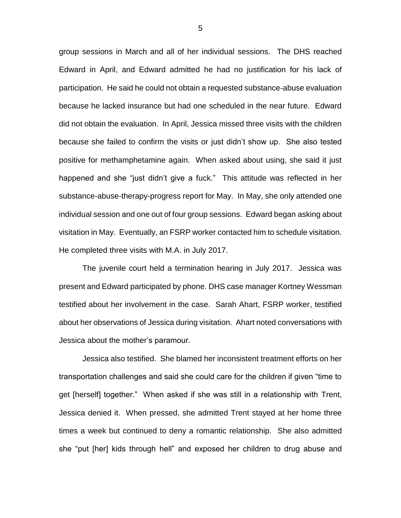group sessions in March and all of her individual sessions. The DHS reached Edward in April, and Edward admitted he had no justification for his lack of participation. He said he could not obtain a requested substance-abuse evaluation because he lacked insurance but had one scheduled in the near future. Edward did not obtain the evaluation. In April, Jessica missed three visits with the children because she failed to confirm the visits or just didn't show up. She also tested positive for methamphetamine again. When asked about using, she said it just happened and she "just didn't give a fuck." This attitude was reflected in her substance-abuse-therapy-progress report for May. In May, she only attended one individual session and one out of four group sessions. Edward began asking about visitation in May. Eventually, an FSRP worker contacted him to schedule visitation. He completed three visits with M.A. in July 2017.

The juvenile court held a termination hearing in July 2017. Jessica was present and Edward participated by phone. DHS case manager Kortney Wessman testified about her involvement in the case. Sarah Ahart, FSRP worker, testified about her observations of Jessica during visitation. Ahart noted conversations with Jessica about the mother's paramour.

Jessica also testified. She blamed her inconsistent treatment efforts on her transportation challenges and said she could care for the children if given "time to get [herself] together." When asked if she was still in a relationship with Trent, Jessica denied it. When pressed, she admitted Trent stayed at her home three times a week but continued to deny a romantic relationship. She also admitted she "put [her] kids through hell" and exposed her children to drug abuse and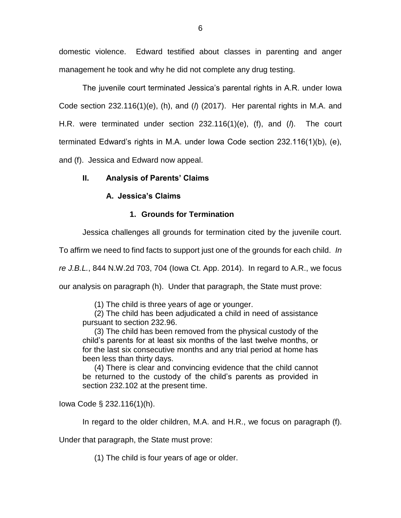domestic violence. Edward testified about classes in parenting and anger management he took and why he did not complete any drug testing.

The juvenile court terminated Jessica's parental rights in A.R. under Iowa Code section 232.116(1)(e), (h), and (*l*) (2017). Her parental rights in M.A. and H.R. were terminated under section 232.116(1)(e), (f), and (*l*). The court terminated Edward's rights in M.A. under Iowa Code section 232.116(1)(b), (e), and (f). Jessica and Edward now appeal.

# **II. Analysis of Parents' Claims**

## **A. Jessica's Claims**

# **1. Grounds for Termination**

Jessica challenges all grounds for termination cited by the juvenile court.

To affirm we need to find facts to support just one of the grounds for each child. *In* 

*re J.B.L.*, 844 N.W.2d 703, 704 (Iowa Ct. App. 2014). In regard to A.R., we focus our analysis on paragraph (h). Under that paragraph, the State must prove:

(1) The child is three years of age or younger.

(2) The child has been adjudicated a child in need of assistance pursuant to section 232.96.

(3) The child has been removed from the physical custody of the child's parents for at least six months of the last twelve months, or for the last six consecutive months and any trial period at home has been less than thirty days.

(4) There is clear and convincing evidence that the child cannot be returned to the custody of the child's parents as provided in section 232.102 at the present time.

Iowa Code § 232.116(1)(h).

In regard to the older children, M.A. and H.R., we focus on paragraph (f).

Under that paragraph, the State must prove:

(1) The child is four years of age or older.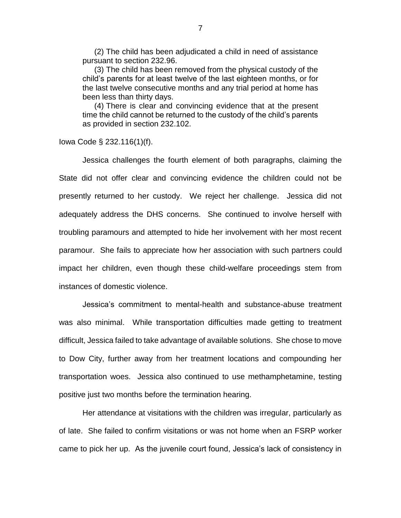(2) The child has been adjudicated a child in need of assistance pursuant to section 232.96.

(3) The child has been removed from the physical custody of the child's parents for at least twelve of the last eighteen months, or for the last twelve consecutive months and any trial period at home has been less than thirty days.

(4) There is clear and convincing evidence that at the present time the child cannot be returned to the custody of the child's parents as provided in section 232.102.

Iowa Code § 232.116(1)(f).

Jessica challenges the fourth element of both paragraphs, claiming the State did not offer clear and convincing evidence the children could not be presently returned to her custody. We reject her challenge. Jessica did not adequately address the DHS concerns. She continued to involve herself with troubling paramours and attempted to hide her involvement with her most recent paramour. She fails to appreciate how her association with such partners could impact her children, even though these child-welfare proceedings stem from instances of domestic violence.

Jessica's commitment to mental-health and substance-abuse treatment was also minimal. While transportation difficulties made getting to treatment difficult, Jessica failed to take advantage of available solutions. She chose to move to Dow City, further away from her treatment locations and compounding her transportation woes. Jessica also continued to use methamphetamine, testing positive just two months before the termination hearing.

Her attendance at visitations with the children was irregular, particularly as of late. She failed to confirm visitations or was not home when an FSRP worker came to pick her up. As the juvenile court found, Jessica's lack of consistency in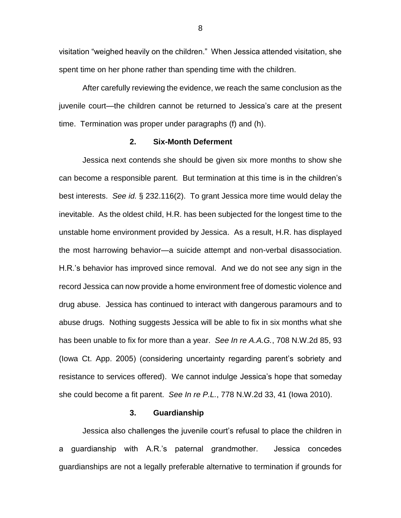visitation "weighed heavily on the children." When Jessica attended visitation, she spent time on her phone rather than spending time with the children.

After carefully reviewing the evidence, we reach the same conclusion as the juvenile court—the children cannot be returned to Jessica's care at the present time. Termination was proper under paragraphs (f) and (h).

## **2. Six-Month Deferment**

Jessica next contends she should be given six more months to show she can become a responsible parent. But termination at this time is in the children's best interests. *See id.* § 232.116(2). To grant Jessica more time would delay the inevitable. As the oldest child, H.R. has been subjected for the longest time to the unstable home environment provided by Jessica. As a result, H.R. has displayed the most harrowing behavior—a suicide attempt and non-verbal disassociation. H.R.'s behavior has improved since removal. And we do not see any sign in the record Jessica can now provide a home environment free of domestic violence and drug abuse. Jessica has continued to interact with dangerous paramours and to abuse drugs. Nothing suggests Jessica will be able to fix in six months what she has been unable to fix for more than a year. *See In re A.A.G.*, 708 N.W.2d 85, 93 (Iowa Ct. App. 2005) (considering uncertainty regarding parent's sobriety and resistance to services offered). We cannot indulge Jessica's hope that someday she could become a fit parent. *See In re P.L.*, 778 N.W.2d 33, 41 (Iowa 2010).

#### **3. Guardianship**

Jessica also challenges the juvenile court's refusal to place the children in a guardianship with A.R.'s paternal grandmother. Jessica concedes guardianships are not a legally preferable alternative to termination if grounds for

8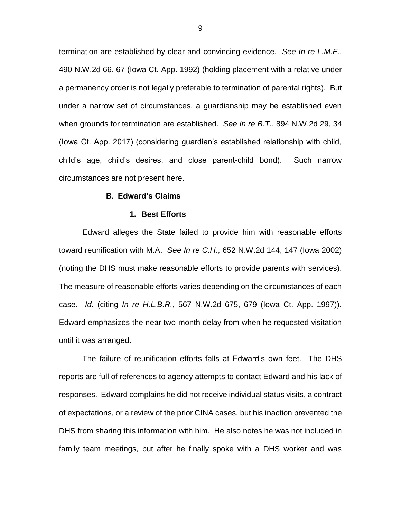termination are established by clear and convincing evidence. *See In re L.M.F.*, 490 N.W.2d 66, 67 (Iowa Ct. App. 1992) (holding placement with a relative under a permanency order is not legally preferable to termination of parental rights). But under a narrow set of circumstances, a guardianship may be established even when grounds for termination are established. *See In re B.T.*, 894 N.W.2d 29, 34 (Iowa Ct. App. 2017) (considering guardian's established relationship with child, child's age, child's desires, and close parent-child bond). Such narrow circumstances are not present here.

## **B. Edward's Claims**

#### **1. Best Efforts**

Edward alleges the State failed to provide him with reasonable efforts toward reunification with M.A. *See In re C.H.*, 652 N.W.2d 144, 147 (Iowa 2002) (noting the DHS must make reasonable efforts to provide parents with services). The measure of reasonable efforts varies depending on the circumstances of each case. *Id.* (citing *In re H.L.B.R.*, 567 N.W.2d 675, 679 (Iowa Ct. App. 1997)). Edward emphasizes the near two-month delay from when he requested visitation until it was arranged.

The failure of reunification efforts falls at Edward's own feet. The DHS reports are full of references to agency attempts to contact Edward and his lack of responses. Edward complains he did not receive individual status visits, a contract of expectations, or a review of the prior CINA cases, but his inaction prevented the DHS from sharing this information with him. He also notes he was not included in family team meetings, but after he finally spoke with a DHS worker and was